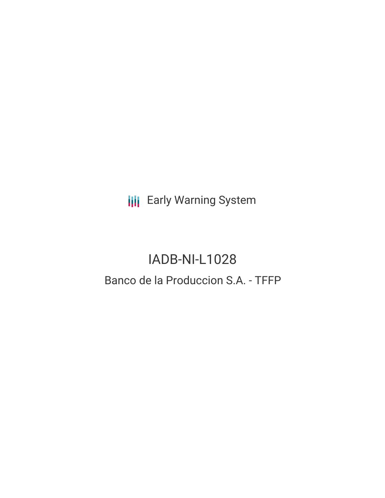**III** Early Warning System

## IADB-NI-L1028 Banco de la Produccion S.A. - TFFP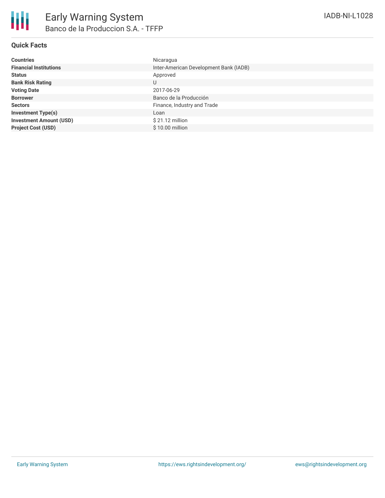| <b>Countries</b>               | Nicaragua                              |
|--------------------------------|----------------------------------------|
| <b>Financial Institutions</b>  | Inter-American Development Bank (IADB) |
| <b>Status</b>                  | Approved                               |
| <b>Bank Risk Rating</b>        | U                                      |
| <b>Voting Date</b>             | 2017-06-29                             |
| <b>Borrower</b>                | Banco de la Producción                 |
| <b>Sectors</b>                 | Finance, Industry and Trade            |
| <b>Investment Type(s)</b>      | Loan                                   |
| <b>Investment Amount (USD)</b> | $$21.12$ million                       |
| <b>Project Cost (USD)</b>      | \$10.00 million                        |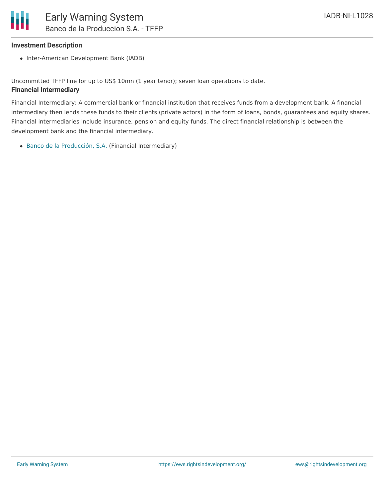## **Investment Description**

• Inter-American Development Bank (IADB)

Uncommitted TFFP line for up to US\$ 10mn (1 year tenor); seven loan operations to date. **Financial Intermediary**

Financial Intermediary: A commercial bank or financial institution that receives funds from a development bank. A financial intermediary then lends these funds to their clients (private actors) in the form of loans, bonds, guarantees and equity shares. Financial intermediaries include insurance, pension and equity funds. The direct financial relationship is between the development bank and the financial intermediary.

Banco de la [Producción,](file:///actor/214/) S.A. (Financial Intermediary)